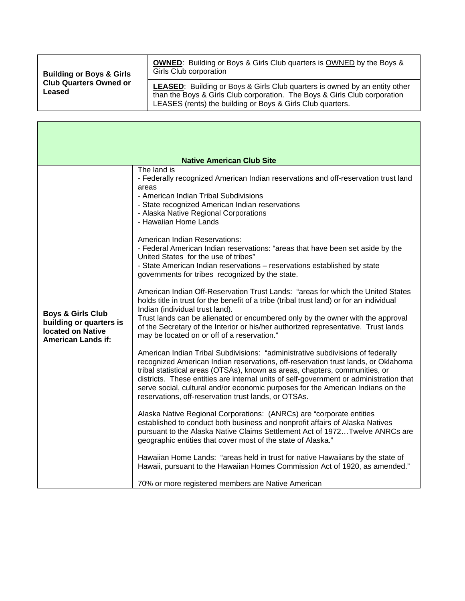| <b>Building or Boys &amp; Girls</b><br><b>Club Quarters Owned or</b><br>Leased | <b>OWNED:</b> Building or Boys & Girls Club quarters is OWNED by the Boys &<br>Girls Club corporation                                                                                                                        |
|--------------------------------------------------------------------------------|------------------------------------------------------------------------------------------------------------------------------------------------------------------------------------------------------------------------------|
|                                                                                | <b>LEASED:</b> Building or Boys & Girls Club quarters is owned by an entity other<br>than the Boys & Girls Club corporation. The Boys & Girls Club corporation<br>LEASES (rents) the building or Boys & Girls Club quarters. |

r

| <b>Native American Club Site</b>                                                                                 |                                                                                                                                                                                                                                                                                                                                                                                                                                                                                         |  |
|------------------------------------------------------------------------------------------------------------------|-----------------------------------------------------------------------------------------------------------------------------------------------------------------------------------------------------------------------------------------------------------------------------------------------------------------------------------------------------------------------------------------------------------------------------------------------------------------------------------------|--|
|                                                                                                                  | The land is<br>- Federally recognized American Indian reservations and off-reservation trust land<br>areas<br>- American Indian Tribal Subdivisions<br>- State recognized American Indian reservations<br>- Alaska Native Regional Corporations<br>- Hawaiian Home Lands                                                                                                                                                                                                                |  |
| <b>Boys &amp; Girls Club</b><br>building or quarters is<br><b>located on Native</b><br><b>American Lands if:</b> | <b>American Indian Reservations:</b><br>- Federal American Indian reservations: "areas that have been set aside by the<br>United States for the use of tribes"<br>- State American Indian reservations - reservations established by state<br>governments for tribes recognized by the state.                                                                                                                                                                                           |  |
|                                                                                                                  | American Indian Off-Reservation Trust Lands: "areas for which the United States<br>holds title in trust for the benefit of a tribe (tribal trust land) or for an individual<br>Indian (individual trust land).<br>Trust lands can be alienated or encumbered only by the owner with the approval<br>of the Secretary of the Interior or his/her authorized representative. Trust lands<br>may be located on or off of a reservation."                                                   |  |
|                                                                                                                  | American Indian Tribal Subdivisions: "administrative subdivisions of federally<br>recognized American Indian reservations, off-reservation trust lands, or Oklahoma<br>tribal statistical areas (OTSAs), known as areas, chapters, communities, or<br>districts. These entities are internal units of self-government or administration that<br>serve social, cultural and/or economic purposes for the American Indians on the<br>reservations, off-reservation trust lands, or OTSAs. |  |
|                                                                                                                  | Alaska Native Regional Corporations: (ANRCs) are "corporate entities<br>established to conduct both business and nonprofit affairs of Alaska Natives<br>pursuant to the Alaska Native Claims Settlement Act of 1972Twelve ANRCs are<br>geographic entities that cover most of the state of Alaska."                                                                                                                                                                                     |  |
|                                                                                                                  | Hawaiian Home Lands: "areas held in trust for native Hawaiians by the state of<br>Hawaii, pursuant to the Hawaiian Homes Commission Act of 1920, as amended."                                                                                                                                                                                                                                                                                                                           |  |
|                                                                                                                  | 70% or more registered members are Native American                                                                                                                                                                                                                                                                                                                                                                                                                                      |  |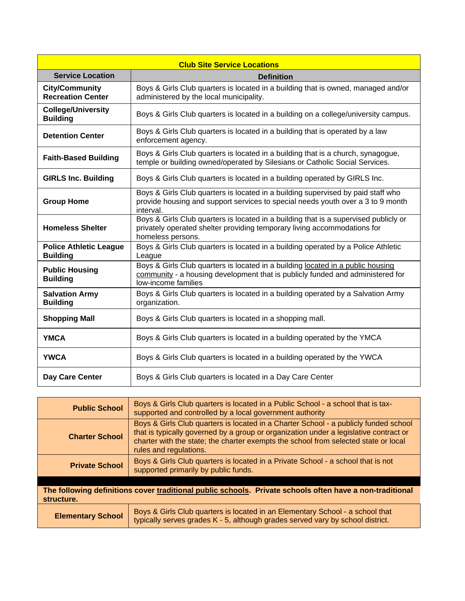| <b>Club Site Service Locations</b>                |                                                                                                                                                                                          |  |
|---------------------------------------------------|------------------------------------------------------------------------------------------------------------------------------------------------------------------------------------------|--|
| <b>Service Location</b>                           | <b>Definition</b>                                                                                                                                                                        |  |
| <b>City/Community</b><br><b>Recreation Center</b> | Boys & Girls Club quarters is located in a building that is owned, managed and/or<br>administered by the local municipality.                                                             |  |
| <b>College/University</b><br><b>Building</b>      | Boys & Girls Club quarters is located in a building on a college/university campus.                                                                                                      |  |
| <b>Detention Center</b>                           | Boys & Girls Club quarters is located in a building that is operated by a law<br>enforcement agency.                                                                                     |  |
| <b>Faith-Based Building</b>                       | Boys & Girls Club quarters is located in a building that is a church, synagogue,<br>temple or building owned/operated by Silesians or Catholic Social Services.                          |  |
| <b>GIRLS Inc. Building</b>                        | Boys & Girls Club quarters is located in a building operated by GIRLS Inc.                                                                                                               |  |
| <b>Group Home</b>                                 | Boys & Girls Club quarters is located in a building supervised by paid staff who<br>provide housing and support services to special needs youth over a 3 to 9 month<br>interval.         |  |
| <b>Homeless Shelter</b>                           | Boys & Girls Club quarters is located in a building that is a supervised publicly or<br>privately operated shelter providing temporary living accommodations for<br>homeless persons.    |  |
| <b>Police Athletic League</b><br><b>Building</b>  | Boys & Girls Club quarters is located in a building operated by a Police Athletic<br>League                                                                                              |  |
| <b>Public Housing</b><br><b>Building</b>          | Boys & Girls Club quarters is located in a building located in a public housing<br>community - a housing development that is publicly funded and administered for<br>low-income families |  |
| <b>Salvation Army</b><br><b>Building</b>          | Boys & Girls Club quarters is located in a building operated by a Salvation Army<br>organization.                                                                                        |  |
| <b>Shopping Mall</b>                              | Boys & Girls Club quarters is located in a shopping mall.                                                                                                                                |  |
| <b>YMCA</b>                                       | Boys & Girls Club quarters is located in a building operated by the YMCA                                                                                                                 |  |
| <b>YWCA</b>                                       | Boys & Girls Club quarters is located in a building operated by the YWCA                                                                                                                 |  |
| Day Care Center                                   | Boys & Girls Club quarters is located in a Day Care Center                                                                                                                               |  |

| <b>Public School</b>                                                                                                   | Boys & Girls Club quarters is located in a Public School - a school that is tax-<br>supported and controlled by a local government authority                                                                                                                                                   |
|------------------------------------------------------------------------------------------------------------------------|------------------------------------------------------------------------------------------------------------------------------------------------------------------------------------------------------------------------------------------------------------------------------------------------|
| <b>Charter School</b>                                                                                                  | Boys & Girls Club quarters is located in a Charter School - a publicly funded school<br>that is typically governed by a group or organization under a legislative contract or<br>charter with the state; the charter exempts the school from selected state or local<br>rules and regulations. |
| <b>Private School</b>                                                                                                  | Boys & Girls Club quarters is located in a Private School - a school that is not<br>supported primarily by public funds.                                                                                                                                                                       |
|                                                                                                                        |                                                                                                                                                                                                                                                                                                |
| The following definitions cover traditional public schools. Private schools often have a non-traditional<br>structure. |                                                                                                                                                                                                                                                                                                |
| <b>Elementary School</b>                                                                                               | Boys & Girls Club quarters is located in an Elementary School - a school that<br>typically serves grades K - 5, although grades served vary by school district.                                                                                                                                |